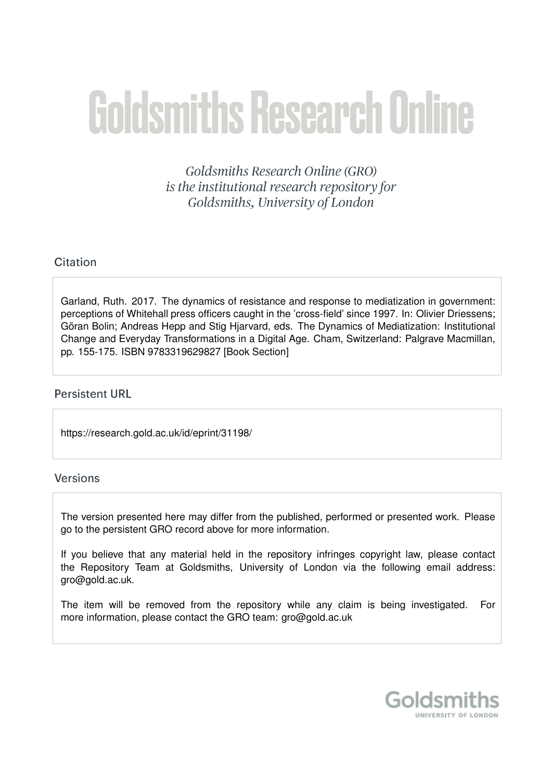# **Goldsmiths Research Online**

Goldsmiths Research Online (GRO) is the institutional research repository for Goldsmiths, University of London

### Citation

Garland, Ruth. 2017. The dynamics of resistance and response to mediatization in government: perceptions of Whitehall press officers caught in the 'cross-field' since 1997. In: Olivier Driessens; Göran Bolin; Andreas Hepp and Stig Hjarvard, eds. The Dynamics of Mediatization: Institutional Change and Everyday Transformations in a Digital Age. Cham, Switzerland: Palgrave Macmillan, pp. 155-175. ISBN 9783319629827 [Book Section]

#### **Persistent URL**

https://research.gold.ac.uk/id/eprint/31198/

#### **Versions**

The version presented here may differ from the published, performed or presented work. Please go to the persistent GRO record above for more information.

If you believe that any material held in the repository infringes copyright law, please contact the Repository Team at Goldsmiths, University of London via the following email address: gro@gold.ac.uk.

The item will be removed from the repository while any claim is being investigated. For more information, please contact the GRO team: gro@gold.ac.uk

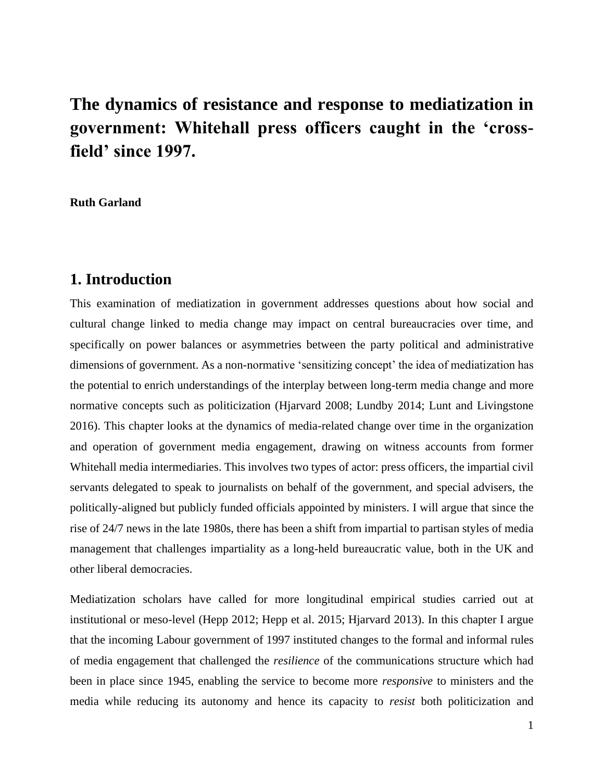# **The dynamics of resistance and response to mediatization in government: Whitehall press officers caught in the 'crossfield' since 1997.**

#### **Ruth Garland**

# **1. Introduction**

This examination of mediatization in government addresses questions about how social and cultural change linked to media change may impact on central bureaucracies over time, and specifically on power balances or asymmetries between the party political and administrative dimensions of government. As a non-normative 'sensitizing concept' the idea of mediatization has the potential to enrich understandings of the interplay between long-term media change and more normative concepts such as politicization (Hjarvard 2008; Lundby 2014; Lunt and Livingstone 2016). This chapter looks at the dynamics of media-related change over time in the organization and operation of government media engagement, drawing on witness accounts from former Whitehall media intermediaries. This involves two types of actor: press officers, the impartial civil servants delegated to speak to journalists on behalf of the government, and special advisers, the politically-aligned but publicly funded officials appointed by ministers. I will argue that since the rise of 24/7 news in the late 1980s, there has been a shift from impartial to partisan styles of media management that challenges impartiality as a long-held bureaucratic value, both in the UK and other liberal democracies.

Mediatization scholars have called for more longitudinal empirical studies carried out at institutional or meso-level (Hepp 2012; Hepp et al. 2015; Hjarvard 2013). In this chapter I argue that the incoming Labour government of 1997 instituted changes to the formal and informal rules of media engagement that challenged the *resilience* of the communications structure which had been in place since 1945, enabling the service to become more *responsive* to ministers and the media while reducing its autonomy and hence its capacity to *resist* both politicization and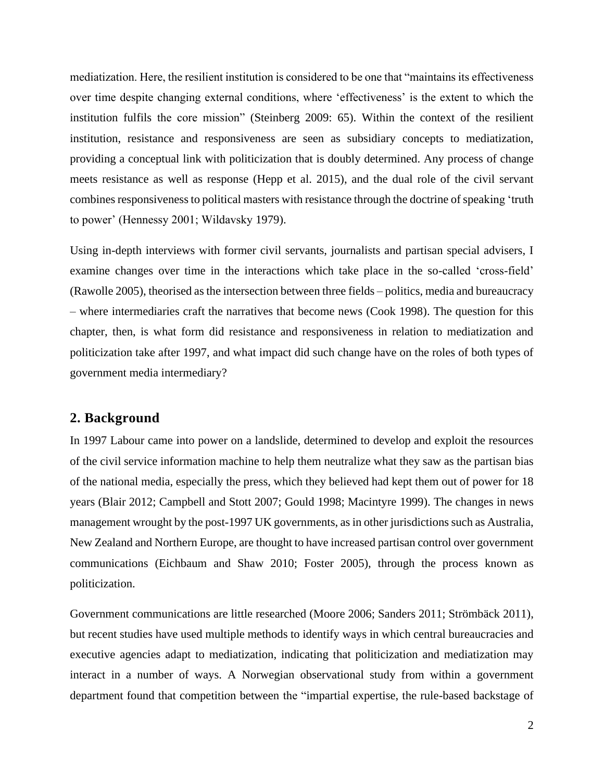mediatization. Here, the resilient institution is considered to be one that "maintains its effectiveness over time despite changing external conditions, where 'effectiveness' is the extent to which the institution fulfils the core mission" (Steinberg 2009: 65). Within the context of the resilient institution, resistance and responsiveness are seen as subsidiary concepts to mediatization, providing a conceptual link with politicization that is doubly determined. Any process of change meets resistance as well as response (Hepp et al. 2015), and the dual role of the civil servant combines responsiveness to political masters with resistance through the doctrine of speaking 'truth to power' (Hennessy 2001; Wildavsky 1979).

Using in-depth interviews with former civil servants, journalists and partisan special advisers, I examine changes over time in the interactions which take place in the so-called 'cross-field' (Rawolle 2005), theorised as the intersection between three fields – politics, media and bureaucracy – where intermediaries craft the narratives that become news (Cook 1998). The question for this chapter, then, is what form did resistance and responsiveness in relation to mediatization and politicization take after 1997, and what impact did such change have on the roles of both types of government media intermediary?

#### **2. Background**

In 1997 Labour came into power on a landslide, determined to develop and exploit the resources of the civil service information machine to help them neutralize what they saw as the partisan bias of the national media, especially the press, which they believed had kept them out of power for 18 years (Blair 2012; Campbell and Stott 2007; Gould 1998; Macintyre 1999). The changes in news management wrought by the post-1997 UK governments, as in other jurisdictions such as Australia, New Zealand and Northern Europe, are thought to have increased partisan control over government communications (Eichbaum and Shaw 2010; Foster 2005), through the process known as politicization.

Government communications are little researched (Moore 2006; Sanders 2011; Strömbäck 2011), but recent studies have used multiple methods to identify ways in which central bureaucracies and executive agencies adapt to mediatization, indicating that politicization and mediatization may interact in a number of ways. A Norwegian observational study from within a government department found that competition between the "impartial expertise, the rule-based backstage of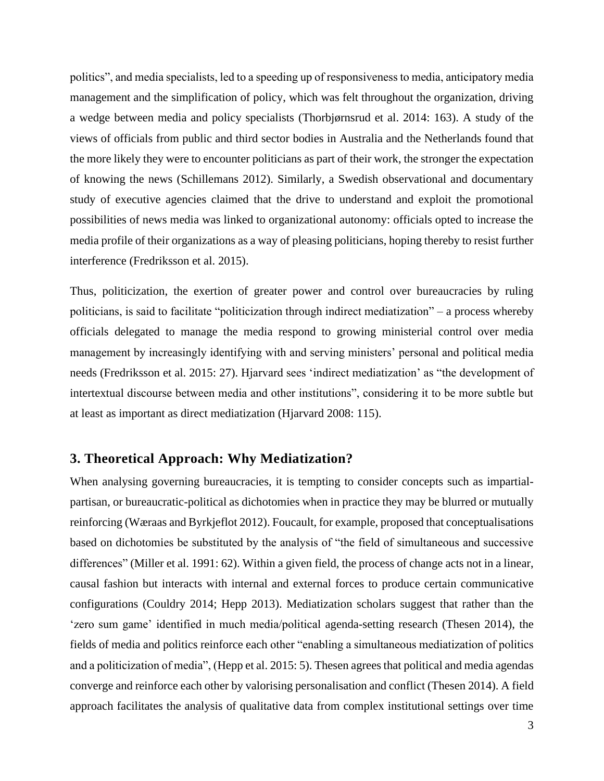politics", and media specialists, led to a speeding up of responsiveness to media, anticipatory media management and the simplification of policy, which was felt throughout the organization, driving a wedge between media and policy specialists (Thorbjørnsrud et al. 2014: 163). A study of the views of officials from public and third sector bodies in Australia and the Netherlands found that the more likely they were to encounter politicians as part of their work, the stronger the expectation of knowing the news (Schillemans 2012). Similarly, a Swedish observational and documentary study of executive agencies claimed that the drive to understand and exploit the promotional possibilities of news media was linked to organizational autonomy: officials opted to increase the media profile of their organizations as a way of pleasing politicians, hoping thereby to resist further interference (Fredriksson et al. 2015).

Thus, politicization, the exertion of greater power and control over bureaucracies by ruling politicians, is said to facilitate "politicization through indirect mediatization" – a process whereby officials delegated to manage the media respond to growing ministerial control over media management by increasingly identifying with and serving ministers' personal and political media needs (Fredriksson et al. 2015: 27). Hjarvard sees 'indirect mediatization' as "the development of intertextual discourse between media and other institutions", considering it to be more subtle but at least as important as direct mediatization (Hjarvard 2008: 115).

#### **3. Theoretical Approach: Why Mediatization?**

When analysing governing bureaucracies, it is tempting to consider concepts such as impartialpartisan, or bureaucratic-political as dichotomies when in practice they may be blurred or mutually reinforcing (Wæraas and Byrkjeflot 2012). Foucault, for example, proposed that conceptualisations based on dichotomies be substituted by the analysis of "the field of simultaneous and successive differences" (Miller et al. 1991: 62). Within a given field, the process of change acts not in a linear, causal fashion but interacts with internal and external forces to produce certain communicative configurations (Couldry 2014; Hepp 2013). Mediatization scholars suggest that rather than the 'zero sum game' identified in much media/political agenda-setting research (Thesen 2014), the fields of media and politics reinforce each other "enabling a simultaneous mediatization of politics and a politicization of media", (Hepp et al. 2015: 5). Thesen agrees that political and media agendas converge and reinforce each other by valorising personalisation and conflict (Thesen 2014). A field approach facilitates the analysis of qualitative data from complex institutional settings over time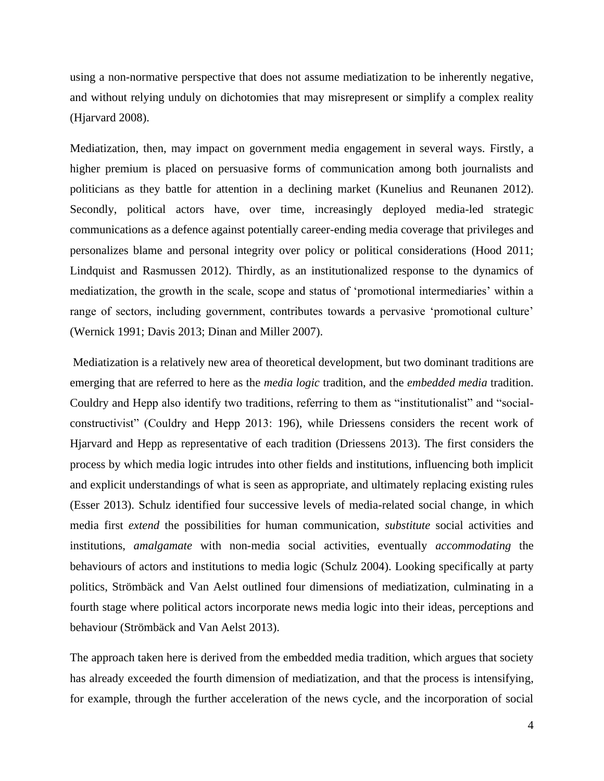using a non-normative perspective that does not assume mediatization to be inherently negative, and without relying unduly on dichotomies that may misrepresent or simplify a complex reality (Hjarvard 2008).

Mediatization, then, may impact on government media engagement in several ways. Firstly, a higher premium is placed on persuasive forms of communication among both journalists and politicians as they battle for attention in a declining market (Kunelius and Reunanen 2012). Secondly, political actors have, over time, increasingly deployed media-led strategic communications as a defence against potentially career-ending media coverage that privileges and personalizes blame and personal integrity over policy or political considerations (Hood 2011; Lindquist and Rasmussen 2012). Thirdly, as an institutionalized response to the dynamics of mediatization, the growth in the scale, scope and status of 'promotional intermediaries' within a range of sectors, including government, contributes towards a pervasive 'promotional culture' (Wernick 1991; Davis 2013; Dinan and Miller 2007).

Mediatization is a relatively new area of theoretical development, but two dominant traditions are emerging that are referred to here as the *media logic* tradition, and the *embedded media* tradition. Couldry and Hepp also identify two traditions, referring to them as "institutionalist" and "socialconstructivist" (Couldry and Hepp 2013: 196), while Driessens considers the recent work of Hjarvard and Hepp as representative of each tradition (Driessens 2013). The first considers the process by which media logic intrudes into other fields and institutions, influencing both implicit and explicit understandings of what is seen as appropriate, and ultimately replacing existing rules (Esser 2013). Schulz identified four successive levels of media-related social change, in which media first *extend* the possibilities for human communication, *substitute* social activities and institutions, *amalgamate* with non-media social activities, eventually *accommodating* the behaviours of actors and institutions to media logic (Schulz 2004). Looking specifically at party politics, Strömbäck and Van Aelst outlined four dimensions of mediatization, culminating in a fourth stage where political actors incorporate news media logic into their ideas, perceptions and behaviour (Strömbäck and Van Aelst 2013).

The approach taken here is derived from the embedded media tradition, which argues that society has already exceeded the fourth dimension of mediatization, and that the process is intensifying, for example, through the further acceleration of the news cycle, and the incorporation of social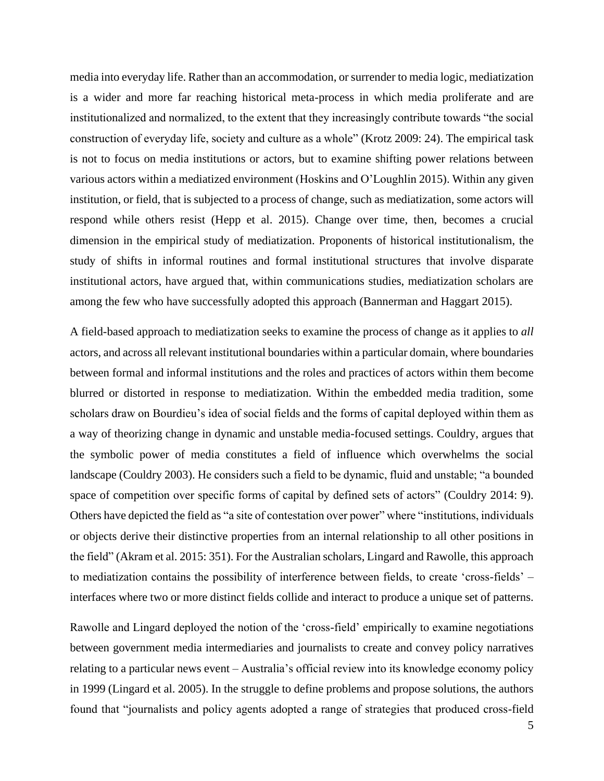media into everyday life. Rather than an accommodation, or surrender to media logic, mediatization is a wider and more far reaching historical meta-process in which media proliferate and are institutionalized and normalized, to the extent that they increasingly contribute towards "the social construction of everyday life, society and culture as a whole" (Krotz 2009: 24). The empirical task is not to focus on media institutions or actors, but to examine shifting power relations between various actors within a mediatized environment (Hoskins and O'Loughlin 2015). Within any given institution, or field, that is subjected to a process of change, such as mediatization, some actors will respond while others resist (Hepp et al. 2015). Change over time, then, becomes a crucial dimension in the empirical study of mediatization. Proponents of historical institutionalism, the study of shifts in informal routines and formal institutional structures that involve disparate institutional actors, have argued that, within communications studies, mediatization scholars are among the few who have successfully adopted this approach (Bannerman and Haggart 2015).

A field-based approach to mediatization seeks to examine the process of change as it applies to *all* actors, and across all relevant institutional boundaries within a particular domain, where boundaries between formal and informal institutions and the roles and practices of actors within them become blurred or distorted in response to mediatization. Within the embedded media tradition, some scholars draw on Bourdieu's idea of social fields and the forms of capital deployed within them as a way of theorizing change in dynamic and unstable media-focused settings. Couldry, argues that the symbolic power of media constitutes a field of influence which overwhelms the social landscape (Couldry 2003). He considers such a field to be dynamic, fluid and unstable; "a bounded space of competition over specific forms of capital by defined sets of actors" (Couldry 2014: 9). Others have depicted the field as "a site of contestation over power" where "institutions, individuals or objects derive their distinctive properties from an internal relationship to all other positions in the field" (Akram et al. 2015: 351). For the Australian scholars, Lingard and Rawolle, this approach to mediatization contains the possibility of interference between fields, to create 'cross-fields' – interfaces where two or more distinct fields collide and interact to produce a unique set of patterns.

Rawolle and Lingard deployed the notion of the 'cross-field' empirically to examine negotiations between government media intermediaries and journalists to create and convey policy narratives relating to a particular news event – Australia's official review into its knowledge economy policy in 1999 (Lingard et al. 2005). In the struggle to define problems and propose solutions, the authors found that "journalists and policy agents adopted a range of strategies that produced cross-field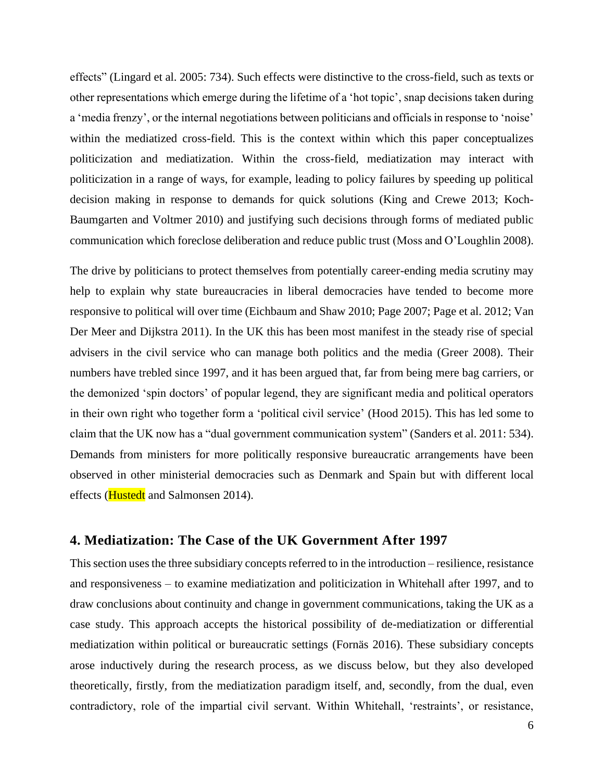effects" (Lingard et al. 2005: 734). Such effects were distinctive to the cross-field, such as texts or other representations which emerge during the lifetime of a 'hot topic', snap decisions taken during a 'media frenzy', or the internal negotiations between politicians and officials in response to 'noise' within the mediatized cross-field. This is the context within which this paper conceptualizes politicization and mediatization. Within the cross-field, mediatization may interact with politicization in a range of ways, for example, leading to policy failures by speeding up political decision making in response to demands for quick solutions (King and Crewe 2013; Koch-Baumgarten and Voltmer 2010) and justifying such decisions through forms of mediated public communication which foreclose deliberation and reduce public trust (Moss and O'Loughlin 2008).

The drive by politicians to protect themselves from potentially career-ending media scrutiny may help to explain why state bureaucracies in liberal democracies have tended to become more responsive to political will over time (Eichbaum and Shaw 2010; Page 2007; Page et al. 2012; Van Der Meer and Dijkstra 2011). In the UK this has been most manifest in the steady rise of special advisers in the civil service who can manage both politics and the media (Greer 2008). Their numbers have trebled since 1997, and it has been argued that, far from being mere bag carriers, or the demonized 'spin doctors' of popular legend, they are significant media and political operators in their own right who together form a 'political civil service' (Hood 2015). This has led some to claim that the UK now has a "dual government communication system" (Sanders et al. 2011: 534). Demands from ministers for more politically responsive bureaucratic arrangements have been observed in other ministerial democracies such as Denmark and Spain but with different local effects (Hustedt and Salmonsen 2014).

#### **4. Mediatization: The Case of the UK Government After 1997**

This section uses the three subsidiary concepts referred to in the introduction – resilience, resistance and responsiveness – to examine mediatization and politicization in Whitehall after 1997, and to draw conclusions about continuity and change in government communications, taking the UK as a case study. This approach accepts the historical possibility of de-mediatization or differential mediatization within political or bureaucratic settings (Fornäs 2016). These subsidiary concepts arose inductively during the research process, as we discuss below, but they also developed theoretically, firstly, from the mediatization paradigm itself, and, secondly, from the dual, even contradictory, role of the impartial civil servant. Within Whitehall, 'restraints', or resistance,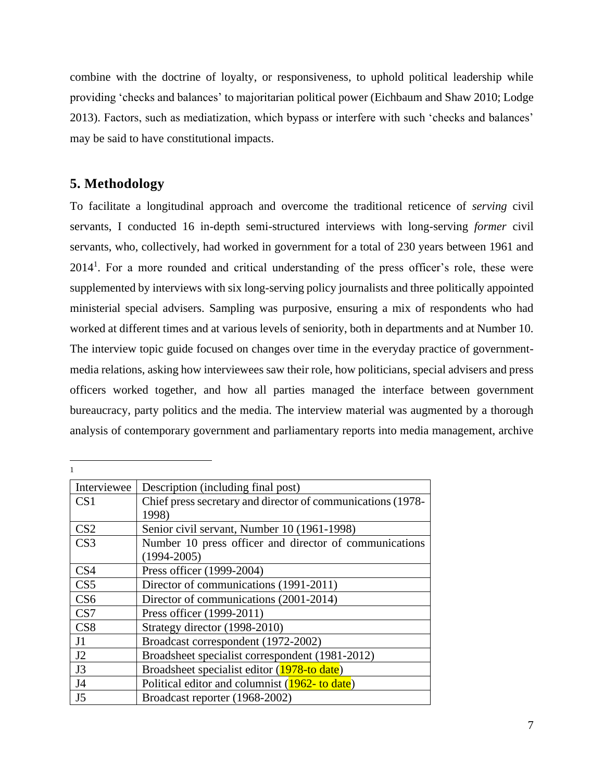combine with the doctrine of loyalty, or responsiveness, to uphold political leadership while providing 'checks and balances' to majoritarian political power (Eichbaum and Shaw 2010; Lodge 2013). Factors, such as mediatization, which bypass or interfere with such 'checks and balances' may be said to have constitutional impacts.

# **5. Methodology**

To facilitate a longitudinal approach and overcome the traditional reticence of *serving* civil servants, I conducted 16 in-depth semi-structured interviews with long-serving *former* civil servants, who, collectively, had worked in government for a total of 230 years between 1961 and 2014<sup>1</sup>. For a more rounded and critical understanding of the press officer's role, these were supplemented by interviews with six long-serving policy journalists and three politically appointed ministerial special advisers. Sampling was purposive, ensuring a mix of respondents who had worked at different times and at various levels of seniority, both in departments and at Number 10. The interview topic guide focused on changes over time in the everyday practice of governmentmedia relations, asking how interviewees saw their role, how politicians, special advisers and press officers worked together, and how all parties managed the interface between government bureaucracy, party politics and the media. The interview material was augmented by a thorough analysis of contemporary government and parliamentary reports into media management, archive

1

| Interviewee     | Description (including final post)                          |
|-----------------|-------------------------------------------------------------|
| CS <sub>1</sub> | Chief press secretary and director of communications (1978- |
|                 | 1998)                                                       |
| CS <sub>2</sub> | Senior civil servant, Number 10 (1961-1998)                 |
| CS <sub>3</sub> | Number 10 press officer and director of communications      |
|                 | $(1994 - 2005)$                                             |
| CS <sub>4</sub> | Press officer (1999-2004)                                   |
| CS <sub>5</sub> | Director of communications (1991-2011)                      |
| CS <sub>6</sub> | Director of communications (2001-2014)                      |
| CS7             | Press officer (1999-2011)                                   |
| CS <sub>8</sub> | Strategy director (1998-2010)                               |
| J1              | Broadcast correspondent (1972-2002)                         |
| J2              | Broadsheet specialist correspondent (1981-2012)             |
| J3              | Broadsheet specialist editor (1978-to date)                 |
| J <sub>4</sub>  | Political editor and columnist (1962- to date)              |
| J <sub>5</sub>  | Broadcast reporter (1968-2002)                              |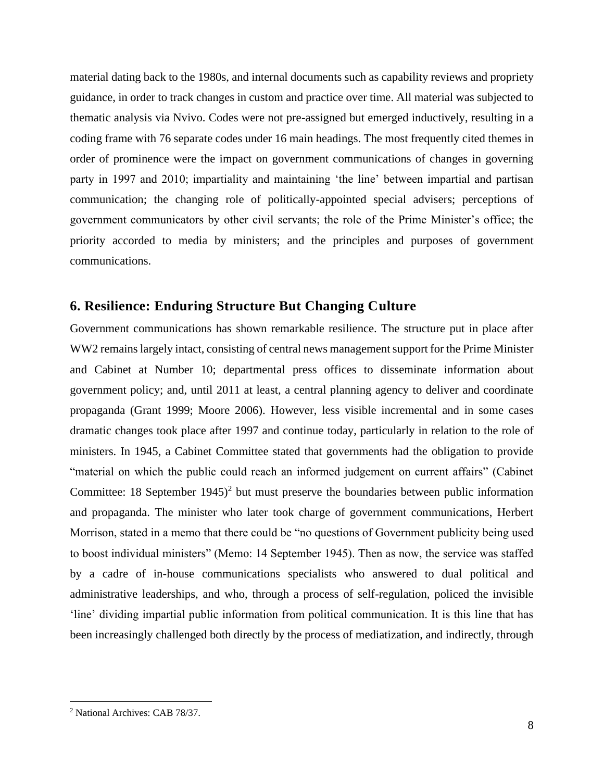material dating back to the 1980s, and internal documents such as capability reviews and propriety guidance, in order to track changes in custom and practice over time. All material was subjected to thematic analysis via Nvivo. Codes were not pre-assigned but emerged inductively, resulting in a coding frame with 76 separate codes under 16 main headings. The most frequently cited themes in order of prominence were the impact on government communications of changes in governing party in 1997 and 2010; impartiality and maintaining 'the line' between impartial and partisan communication; the changing role of politically-appointed special advisers; perceptions of government communicators by other civil servants; the role of the Prime Minister's office; the priority accorded to media by ministers; and the principles and purposes of government communications.

#### **6. Resilience: Enduring Structure But Changing Culture**

Government communications has shown remarkable resilience. The structure put in place after WW2 remains largely intact, consisting of central news management support for the Prime Minister and Cabinet at Number 10; departmental press offices to disseminate information about government policy; and, until 2011 at least, a central planning agency to deliver and coordinate propaganda (Grant 1999; Moore 2006). However, less visible incremental and in some cases dramatic changes took place after 1997 and continue today, particularly in relation to the role of ministers. In 1945, a Cabinet Committee stated that governments had the obligation to provide "material on which the public could reach an informed judgement on current affairs" (Cabinet Committee: 18 September  $1945$ <sup>2</sup> but must preserve the boundaries between public information and propaganda. The minister who later took charge of government communications, Herbert Morrison, stated in a memo that there could be "no questions of Government publicity being used to boost individual ministers" (Memo: 14 September 1945). Then as now, the service was staffed by a cadre of in-house communications specialists who answered to dual political and administrative leaderships, and who, through a process of self-regulation, policed the invisible 'line' dividing impartial public information from political communication. It is this line that has been increasingly challenged both directly by the process of mediatization, and indirectly, through

<sup>2</sup> National Archives: CAB 78/37.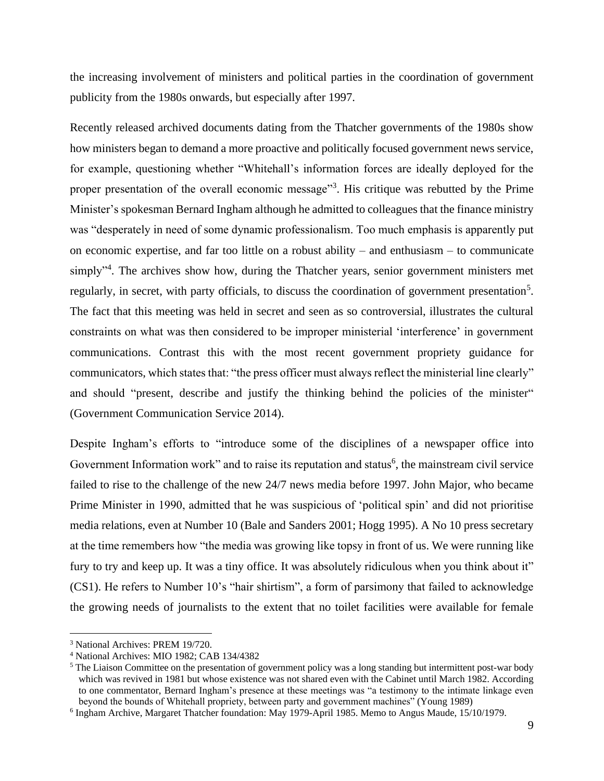the increasing involvement of ministers and political parties in the coordination of government publicity from the 1980s onwards, but especially after 1997.

Recently released archived documents dating from the Thatcher governments of the 1980s show how ministers began to demand a more proactive and politically focused government news service, for example, questioning whether "Whitehall's information forces are ideally deployed for the proper presentation of the overall economic message"<sup>3</sup>. His critique was rebutted by the Prime Minister's spokesman Bernard Ingham although he admitted to colleagues that the finance ministry was "desperately in need of some dynamic professionalism. Too much emphasis is apparently put on economic expertise, and far too little on a robust ability – and enthusiasm – to communicate simply"<sup>4</sup>. The archives show how, during the Thatcher years, senior government ministers met regularly, in secret, with party officials, to discuss the coordination of government presentation<sup>5</sup>. The fact that this meeting was held in secret and seen as so controversial, illustrates the cultural constraints on what was then considered to be improper ministerial 'interference' in government communications. Contrast this with the most recent government propriety guidance for communicators, which states that: "the press officer must always reflect the ministerial line clearly" and should "present, describe and justify the thinking behind the policies of the minister" (Government Communication Service 2014).

Despite Ingham's efforts to "introduce some of the disciplines of a newspaper office into Government Information work" and to raise its reputation and status<sup>6</sup>, the mainstream civil service failed to rise to the challenge of the new 24/7 news media before 1997. John Major, who became Prime Minister in 1990, admitted that he was suspicious of 'political spin' and did not prioritise media relations, even at Number 10 (Bale and Sanders 2001; Hogg 1995). A No 10 press secretary at the time remembers how "the media was growing like topsy in front of us. We were running like fury to try and keep up. It was a tiny office. It was absolutely ridiculous when you think about it" (CS1). He refers to Number 10's "hair shirtism", a form of parsimony that failed to acknowledge the growing needs of journalists to the extent that no toilet facilities were available for female

<sup>3</sup> National Archives: PREM 19/720.

<sup>4</sup> National Archives: MIO 1982; CAB 134/4382

<sup>&</sup>lt;sup>5</sup> The Liaison Committee on the presentation of government policy was a long standing but intermittent post-war body which was revived in 1981 but whose existence was not shared even with the Cabinet until March 1982. According to one commentator, Bernard Ingham's presence at these meetings was "a testimony to the intimate linkage even beyond the bounds of Whitehall propriety, between party and government machines" (Young 1989)

<sup>&</sup>lt;sup>6</sup> Ingham Archive, Margaret Thatcher foundation: May 1979-April 1985. Memo to Angus Maude, 15/10/1979.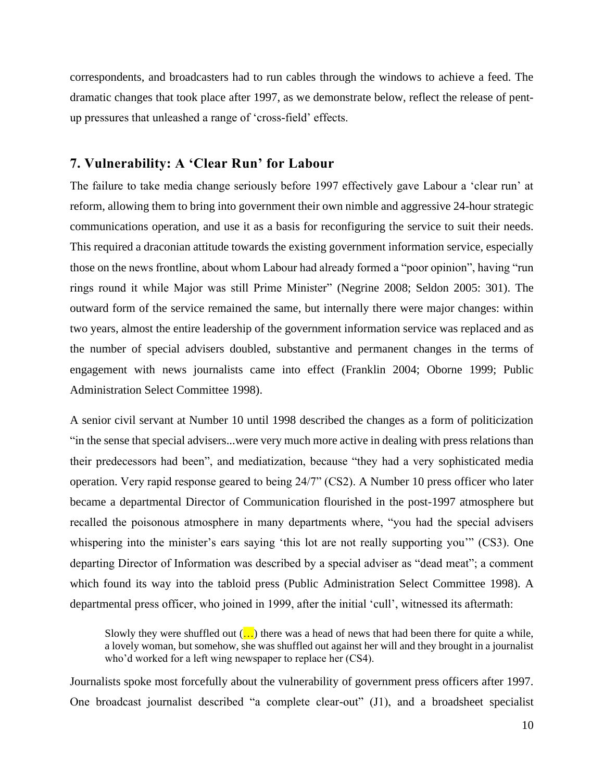correspondents, and broadcasters had to run cables through the windows to achieve a feed. The dramatic changes that took place after 1997, as we demonstrate below, reflect the release of pentup pressures that unleashed a range of 'cross-field' effects.

# **7. Vulnerability: A 'Clear Run' for Labour**

The failure to take media change seriously before 1997 effectively gave Labour a 'clear run' at reform, allowing them to bring into government their own nimble and aggressive 24-hour strategic communications operation, and use it as a basis for reconfiguring the service to suit their needs. This required a draconian attitude towards the existing government information service, especially those on the news frontline, about whom Labour had already formed a "poor opinion", having "run rings round it while Major was still Prime Minister" (Negrine 2008; Seldon 2005: 301). The outward form of the service remained the same, but internally there were major changes: within two years, almost the entire leadership of the government information service was replaced and as the number of special advisers doubled, substantive and permanent changes in the terms of engagement with news journalists came into effect (Franklin 2004; Oborne 1999; Public Administration Select Committee 1998).

A senior civil servant at Number 10 until 1998 described the changes as a form of politicization "in the sense that special advisers...were very much more active in dealing with press relations than their predecessors had been", and mediatization, because "they had a very sophisticated media operation. Very rapid response geared to being 24/7" (CS2). A Number 10 press officer who later became a departmental Director of Communication flourished in the post-1997 atmosphere but recalled the poisonous atmosphere in many departments where, "you had the special advisers whispering into the minister's ears saying 'this lot are not really supporting you'" (CS3). One departing Director of Information was described by a special adviser as "dead meat"; a comment which found its way into the tabloid press (Public Administration Select Committee 1998). A departmental press officer, who joined in 1999, after the initial 'cull', witnessed its aftermath:

Slowly they were shuffled out  $(\ldots)$  there was a head of news that had been there for quite a while, a lovely woman, but somehow, she was shuffled out against her will and they brought in a journalist who'd worked for a left wing newspaper to replace her (CS4).

Journalists spoke most forcefully about the vulnerability of government press officers after 1997. One broadcast journalist described "a complete clear-out" (J1), and a broadsheet specialist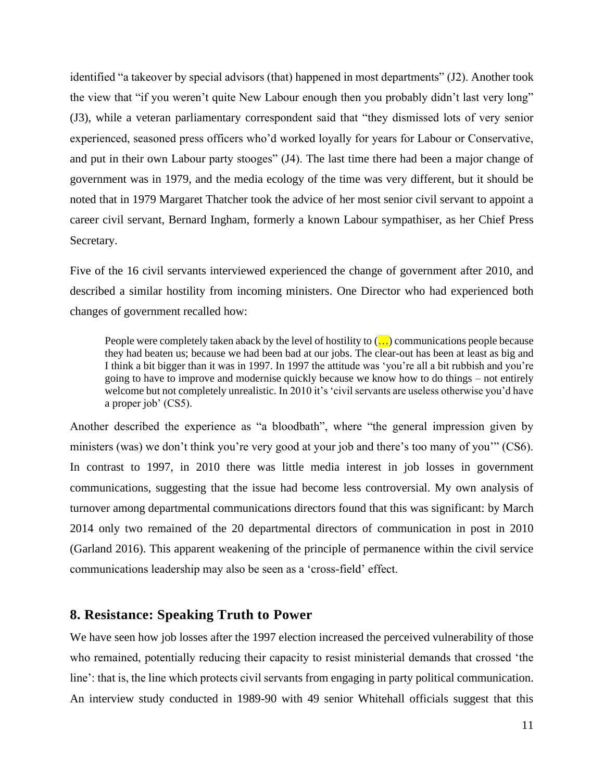identified "a takeover by special advisors (that) happened in most departments" (J2). Another took the view that "if you weren't quite New Labour enough then you probably didn't last very long" (J3), while a veteran parliamentary correspondent said that "they dismissed lots of very senior experienced, seasoned press officers who'd worked loyally for years for Labour or Conservative, and put in their own Labour party stooges" (J4). The last time there had been a major change of government was in 1979, and the media ecology of the time was very different, but it should be noted that in 1979 Margaret Thatcher took the advice of her most senior civil servant to appoint a career civil servant, Bernard Ingham, formerly a known Labour sympathiser, as her Chief Press Secretary.

Five of the 16 civil servants interviewed experienced the change of government after 2010, and described a similar hostility from incoming ministers. One Director who had experienced both changes of government recalled how:

People were completely taken aback by the level of hostility to  $(\ldots)$  communications people because they had beaten us; because we had been bad at our jobs. The clear-out has been at least as big and I think a bit bigger than it was in 1997. In 1997 the attitude was 'you're all a bit rubbish and you're going to have to improve and modernise quickly because we know how to do things – not entirely welcome but not completely unrealistic. In 2010 it's 'civil servants are useless otherwise you'd have a proper job' (CS5).

Another described the experience as "a bloodbath", where "the general impression given by ministers (was) we don't think you're very good at your job and there's too many of you'" (CS6). In contrast to 1997, in 2010 there was little media interest in job losses in government communications, suggesting that the issue had become less controversial. My own analysis of turnover among departmental communications directors found that this was significant: by March 2014 only two remained of the 20 departmental directors of communication in post in 2010 (Garland 2016). This apparent weakening of the principle of permanence within the civil service communications leadership may also be seen as a 'cross-field' effect.

#### **8. Resistance: Speaking Truth to Power**

We have seen how job losses after the 1997 election increased the perceived vulnerability of those who remained, potentially reducing their capacity to resist ministerial demands that crossed 'the line': that is, the line which protects civil servants from engaging in party political communication. An interview study conducted in 1989-90 with 49 senior Whitehall officials suggest that this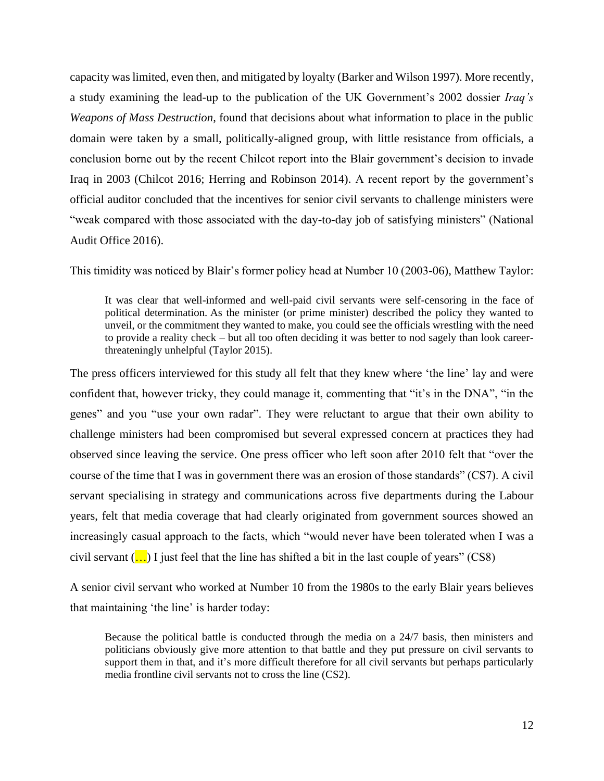capacity was limited, even then, and mitigated by loyalty (Barker and Wilson 1997). More recently, a study examining the lead-up to the publication of the UK Government's 2002 dossier *Iraq's Weapons of Mass Destruction*, found that decisions about what information to place in the public domain were taken by a small, politically-aligned group, with little resistance from officials, a conclusion borne out by the recent Chilcot report into the Blair government's decision to invade Iraq in 2003 (Chilcot 2016; Herring and Robinson 2014). A recent report by the government's official auditor concluded that the incentives for senior civil servants to challenge ministers were "weak compared with those associated with the day-to-day job of satisfying ministers" (National Audit Office 2016).

This timidity was noticed by Blair's former policy head at Number 10 (2003-06), Matthew Taylor:

It was clear that well-informed and well-paid civil servants were self-censoring in the face of political determination. As the minister (or prime minister) described the policy they wanted to unveil, or the commitment they wanted to make, you could see the officials wrestling with the need to provide a reality check – but all too often deciding it was better to nod sagely than look careerthreateningly unhelpful (Taylor 2015).

The press officers interviewed for this study all felt that they knew where 'the line' lay and were confident that, however tricky, they could manage it, commenting that "it's in the DNA", "in the genes" and you "use your own radar". They were reluctant to argue that their own ability to challenge ministers had been compromised but several expressed concern at practices they had observed since leaving the service. One press officer who left soon after 2010 felt that "over the course of the time that I was in government there was an erosion of those standards" (CS7). A civil servant specialising in strategy and communications across five departments during the Labour years, felt that media coverage that had clearly originated from government sources showed an increasingly casual approach to the facts, which "would never have been tolerated when I was a civil servant  $(\ldots)$  I just feel that the line has shifted a bit in the last couple of years" (CS8)

A senior civil servant who worked at Number 10 from the 1980s to the early Blair years believes that maintaining 'the line' is harder today:

Because the political battle is conducted through the media on a 24/7 basis, then ministers and politicians obviously give more attention to that battle and they put pressure on civil servants to support them in that, and it's more difficult therefore for all civil servants but perhaps particularly media frontline civil servants not to cross the line (CS2).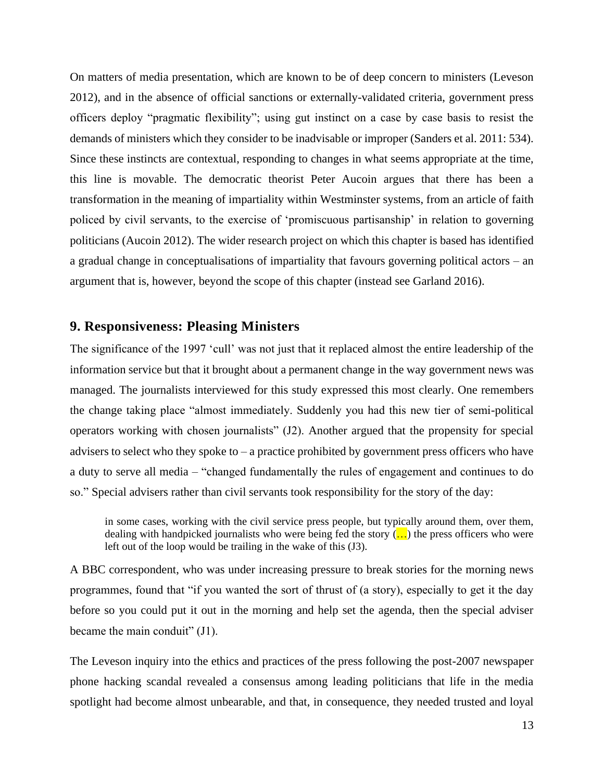On matters of media presentation, which are known to be of deep concern to ministers (Leveson 2012), and in the absence of official sanctions or externally-validated criteria, government press officers deploy "pragmatic flexibility"; using gut instinct on a case by case basis to resist the demands of ministers which they consider to be inadvisable or improper (Sanders et al. 2011: 534). Since these instincts are contextual, responding to changes in what seems appropriate at the time, this line is movable. The democratic theorist Peter Aucoin argues that there has been a transformation in the meaning of impartiality within Westminster systems, from an article of faith policed by civil servants, to the exercise of 'promiscuous partisanship' in relation to governing politicians (Aucoin 2012). The wider research project on which this chapter is based has identified a gradual change in conceptualisations of impartiality that favours governing political actors – an argument that is, however, beyond the scope of this chapter (instead see Garland 2016).

#### **9. Responsiveness: Pleasing Ministers**

The significance of the 1997 'cull' was not just that it replaced almost the entire leadership of the information service but that it brought about a permanent change in the way government news was managed. The journalists interviewed for this study expressed this most clearly. One remembers the change taking place "almost immediately. Suddenly you had this new tier of semi-political operators working with chosen journalists" (J2). Another argued that the propensity for special advisers to select who they spoke to – a practice prohibited by government press officers who have a duty to serve all media – "changed fundamentally the rules of engagement and continues to do so." Special advisers rather than civil servants took responsibility for the story of the day:

in some cases, working with the civil service press people, but typically around them, over them, dealing with handpicked journalists who were being fed the story  $($ ...) the press officers who were left out of the loop would be trailing in the wake of this (J3).

A BBC correspondent, who was under increasing pressure to break stories for the morning news programmes, found that "if you wanted the sort of thrust of (a story), especially to get it the day before so you could put it out in the morning and help set the agenda, then the special adviser became the main conduit" (J1).

The Leveson inquiry into the ethics and practices of the press following the post-2007 newspaper phone hacking scandal revealed a consensus among leading politicians that life in the media spotlight had become almost unbearable, and that, in consequence, they needed trusted and loyal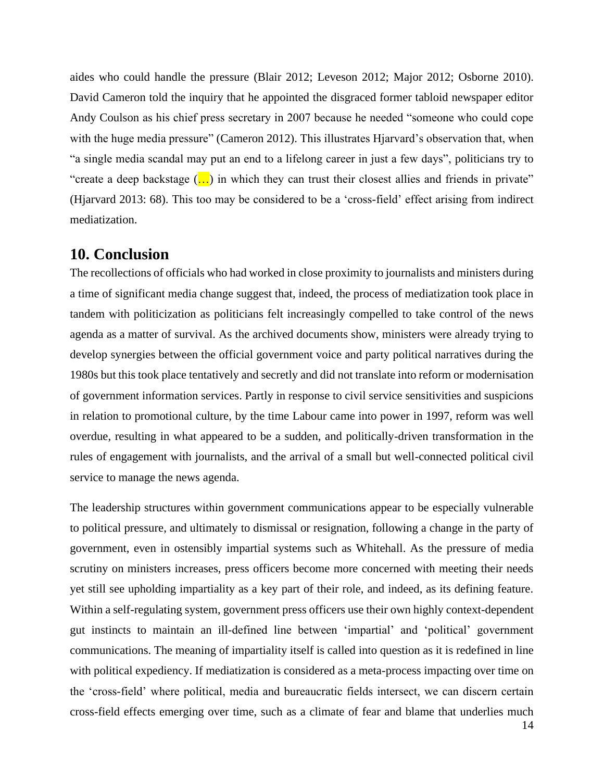aides who could handle the pressure (Blair 2012; Leveson 2012; Major 2012; Osborne 2010). David Cameron told the inquiry that he appointed the disgraced former tabloid newspaper editor Andy Coulson as his chief press secretary in 2007 because he needed "someone who could cope with the huge media pressure" (Cameron 2012). This illustrates Hjarvard's observation that, when "a single media scandal may put an end to a lifelong career in just a few days", politicians try to "create a deep backstage  $(\ldots)$  in which they can trust their closest allies and friends in private" (Hjarvard 2013: 68). This too may be considered to be a 'cross-field' effect arising from indirect mediatization.

# **10. Conclusion**

The recollections of officials who had worked in close proximity to journalists and ministers during a time of significant media change suggest that, indeed, the process of mediatization took place in tandem with politicization as politicians felt increasingly compelled to take control of the news agenda as a matter of survival. As the archived documents show, ministers were already trying to develop synergies between the official government voice and party political narratives during the 1980s but this took place tentatively and secretly and did not translate into reform or modernisation of government information services. Partly in response to civil service sensitivities and suspicions in relation to promotional culture, by the time Labour came into power in 1997, reform was well overdue, resulting in what appeared to be a sudden, and politically-driven transformation in the rules of engagement with journalists, and the arrival of a small but well-connected political civil service to manage the news agenda.

The leadership structures within government communications appear to be especially vulnerable to political pressure, and ultimately to dismissal or resignation, following a change in the party of government, even in ostensibly impartial systems such as Whitehall. As the pressure of media scrutiny on ministers increases, press officers become more concerned with meeting their needs yet still see upholding impartiality as a key part of their role, and indeed, as its defining feature. Within a self-regulating system, government press officers use their own highly context-dependent gut instincts to maintain an ill-defined line between 'impartial' and 'political' government communications. The meaning of impartiality itself is called into question as it is redefined in line with political expediency. If mediatization is considered as a meta-process impacting over time on the 'cross-field' where political, media and bureaucratic fields intersect, we can discern certain cross-field effects emerging over time, such as a climate of fear and blame that underlies much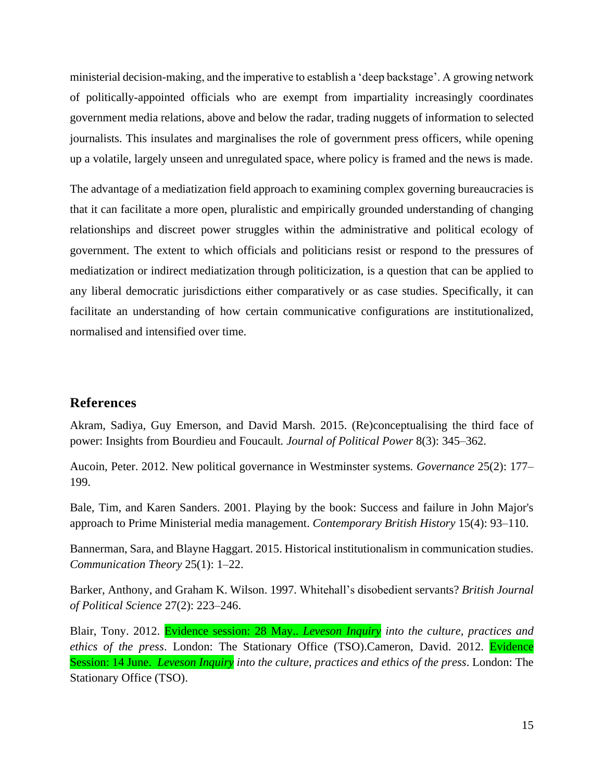ministerial decision-making, and the imperative to establish a 'deep backstage'. A growing network of politically-appointed officials who are exempt from impartiality increasingly coordinates government media relations, above and below the radar, trading nuggets of information to selected journalists. This insulates and marginalises the role of government press officers, while opening up a volatile, largely unseen and unregulated space, where policy is framed and the news is made.

The advantage of a mediatization field approach to examining complex governing bureaucracies is that it can facilitate a more open, pluralistic and empirically grounded understanding of changing relationships and discreet power struggles within the administrative and political ecology of government. The extent to which officials and politicians resist or respond to the pressures of mediatization or indirect mediatization through politicization, is a question that can be applied to any liberal democratic jurisdictions either comparatively or as case studies. Specifically, it can facilitate an understanding of how certain communicative configurations are institutionalized, normalised and intensified over time.

# **References**

Akram, Sadiya, Guy Emerson, and David Marsh. 2015. (Re)conceptualising the third face of power: Insights from Bourdieu and Foucault*. Journal of Political Power* 8(3): 345–362.

Aucoin, Peter. 2012. New political governance in Westminster systems*. Governance* 25(2): 177– 199.

Bale, Tim, and Karen Sanders. 2001. Playing by the book: Success and failure in John Major's approach to Prime Ministerial media management. *Contemporary British History* 15(4): 93–110.

Bannerman, Sara, and Blayne Haggart. 2015. Historical institutionalism in communication studies. *Communication Theory* 25(1): 1–22.

Barker, Anthony, and Graham K. Wilson. 1997. Whitehall's disobedient servants? *British Journal of Political Science* 27(2): 223–246.

Blair, Tony. 2012. Evidence session: 28 May.. *Leveson Inquiry into the culture, practices and ethics of the press*. London: The Stationary Office (TSO).Cameron, David. 2012. Evidence Session: 14 June. *Leveson Inquiry into the culture, practices and ethics of the press*. London: The Stationary Office (TSO).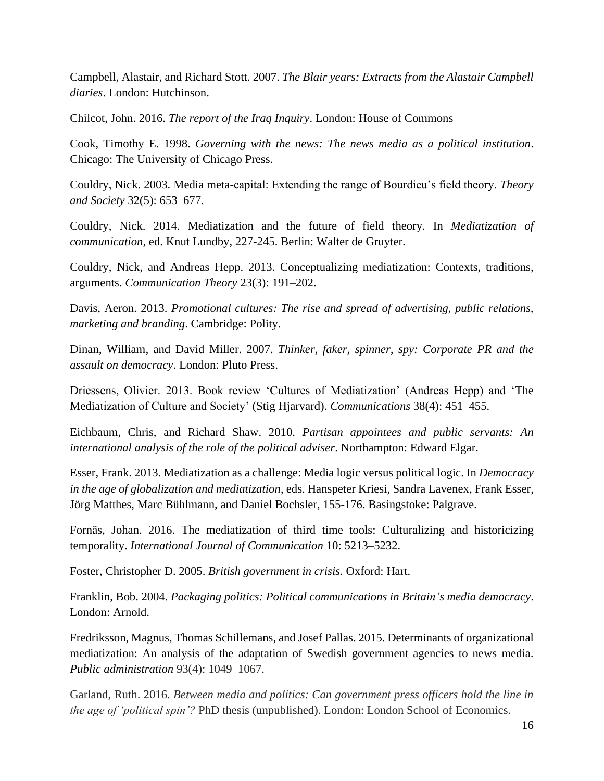Campbell, Alastair, and Richard Stott. 2007. *The Blair years: Extracts from the Alastair Campbell diaries*. London: Hutchinson.

Chilcot, John. 2016. *The report of the Iraq Inquiry*. London: House of Commons

Cook, Timothy E. 1998. *Governing with the news: The news media as a political institution*. Chicago: The University of Chicago Press.

Couldry, Nick. 2003. Media meta-capital: Extending the range of Bourdieu's field theory. *Theory and Society* 32(5): 653–677.

Couldry, Nick. 2014. Mediatization and the future of field theory. In *Mediatization of communication*, ed. Knut Lundby, 227-245. Berlin: Walter de Gruyter.

Couldry, Nick, and Andreas Hepp. 2013. Conceptualizing mediatization: Contexts, traditions, arguments. *Communication Theory* 23(3): 191–202.

Davis, Aeron. 2013. *Promotional cultures: The rise and spread of advertising, public relations, marketing and branding*. Cambridge: Polity.

Dinan, William, and David Miller. 2007. *Thinker, faker, spinner, spy: Corporate PR and the assault on democracy*. London: Pluto Press.

Driessens, Olivier. 2013. Book review 'Cultures of Mediatization' (Andreas Hepp) and 'The Mediatization of Culture and Society' (Stig Hjarvard). *Communications* 38(4): 451–455.

Eichbaum, Chris, and Richard Shaw. 2010. *Partisan appointees and public servants: An international analysis of the role of the political adviser*. Northampton: Edward Elgar.

Esser, Frank. 2013. Mediatization as a challenge: Media logic versus political logic. In *Democracy in the age of globalization and mediatization*, eds. Hanspeter Kriesi, Sandra Lavenex, Frank Esser, Jörg Matthes, Marc Bühlmann, and Daniel Bochsler, 155-176. Basingstoke: Palgrave.

Fornäs, Johan. 2016. The mediatization of third time tools: Culturalizing and historicizing temporality. *International Journal of Communication* 10: 5213–5232.

Foster, Christopher D. 2005. *British government in crisis.* Oxford: Hart.

Franklin, Bob. 2004. *Packaging politics: Political communications in Britain's media democracy*. London: Arnold.

Fredriksson, Magnus, Thomas Schillemans, and Josef Pallas. 2015. Determinants of organizational mediatization: An analysis of the adaptation of Swedish government agencies to news media. *Public administration* 93(4): 1049–1067.

Garland, Ruth. 2016. *Between media and politics: Can government press officers hold the line in the age of 'political spin'?* PhD thesis (unpublished). London: London School of Economics.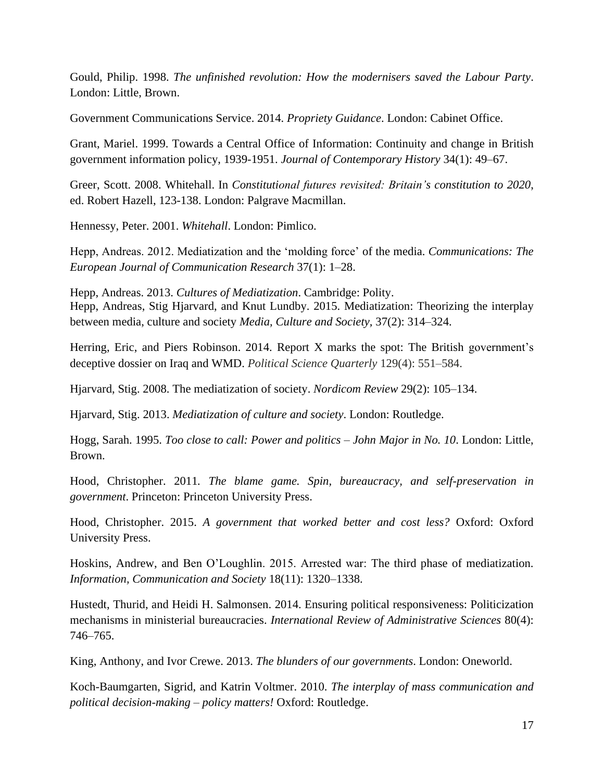Gould, Philip. 1998. *The unfinished revolution: How the modernisers saved the Labour Party*. London: Little, Brown.

Government Communications Service. 2014. *Propriety Guidance*. London: Cabinet Office.

Grant, Mariel. 1999. Towards a Central Office of Information: Continuity and change in British government information policy, 1939-1951. *Journal of Contemporary History* 34(1): 49–67.

Greer, Scott. 2008. Whitehall. In *Constitutional futures revisited: Britain's constitution to 2020*, ed. Robert Hazell, 123-138. London: Palgrave Macmillan.

Hennessy, Peter. 2001. *Whitehall*. London: Pimlico.

Hepp, Andreas. 2012. Mediatization and the 'molding force' of the media. *Communications: The European Journal of Communication Research* 37(1): 1–28.

Hepp, Andreas. 2013. *Cultures of Mediatization*. Cambridge: Polity. Hepp, Andreas, Stig Hjarvard, and Knut Lundby. 2015. Mediatization: Theorizing the interplay between media, culture and society *Media, Culture and Society,* 37(2): 314–324.

Herring, Eric, and Piers Robinson. 2014. Report X marks the spot: The British government's deceptive dossier on Iraq and WMD. *Political Science Quarterly* 129(4): 551–584.

Hjarvard, Stig. 2008. The mediatization of society. *Nordicom Review* 29(2): 105–134.

Hjarvard, Stig. 2013. *Mediatization of culture and society*. London: Routledge.

Hogg, Sarah. 1995. *Too close to call: Power and politics – John Major in No. 10*. London: Little, Brown.

Hood, Christopher. 2011*. The blame game. Spin, bureaucracy, and self-preservation in government*. Princeton: Princeton University Press.

Hood, Christopher. 2015. *A government that worked better and cost less?* Oxford: Oxford University Press.

Hoskins, Andrew, and Ben O'Loughlin. 2015. Arrested war: The third phase of mediatization. *Information, Communication and Society* 18(11): 1320–1338.

Hustedt, Thurid, and Heidi H. Salmonsen. 2014. Ensuring political responsiveness: Politicization mechanisms in ministerial bureaucracies. *International Review of Administrative Sciences* 80(4): 746–765.

King, Anthony, and Ivor Crewe. 2013. *The blunders of our governments*. London: Oneworld.

Koch-Baumgarten, Sigrid, and Katrin Voltmer. 2010. *The interplay of mass communication and political decision-making – policy matters!* Oxford: Routledge.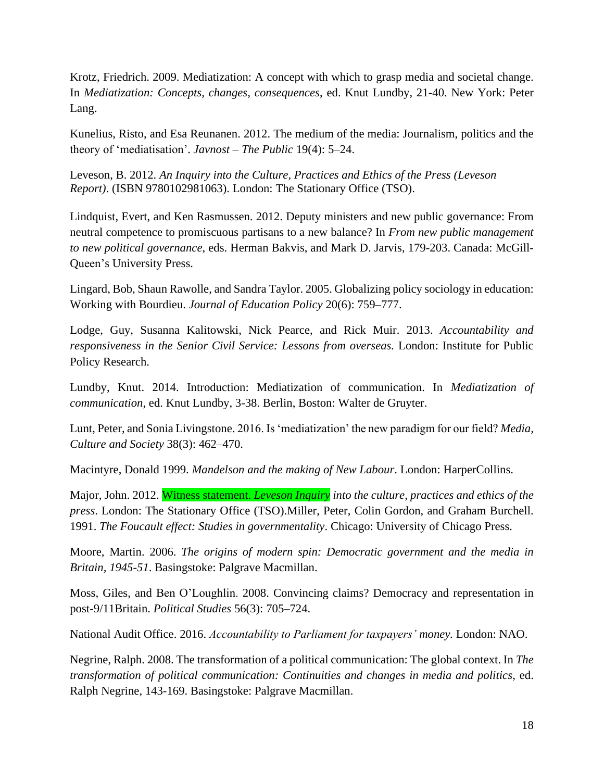Krotz, Friedrich. 2009. Mediatization: A concept with which to grasp media and societal change. In *Mediatization: Concepts, changes, consequences*, ed. Knut Lundby, 21-40. New York: Peter Lang.

Kunelius, Risto, and Esa Reunanen. 2012. The medium of the media: Journalism, politics and the theory of 'mediatisation'. *Javnost – The Public* 19(4): 5–24.

Leveson, B. 2012. *An Inquiry into the Culture, Practices and Ethics of the Press (Leveson Report)*. (ISBN 9780102981063). London: The Stationary Office (TSO).

Lindquist, Evert, and Ken Rasmussen. 2012. Deputy ministers and new public governance: From neutral competence to promiscuous partisans to a new balance? In *From new public management to new political governance*, eds. Herman Bakvis, and Mark D. Jarvis, 179-203. Canada: McGill-Queen's University Press.

Lingard, Bob, Shaun Rawolle, and Sandra Taylor. 2005. Globalizing policy sociology in education: Working with Bourdieu. *Journal of Education Policy* 20(6): 759–777.

Lodge, Guy, Susanna Kalitowski, Nick Pearce, and Rick Muir. 2013. *Accountability and responsiveness in the Senior Civil Service: Lessons from overseas.* London: Institute for Public Policy Research.

Lundby, Knut. 2014. Introduction: Mediatization of communication. In *Mediatization of communication*, ed. Knut Lundby, 3-38. Berlin, Boston: Walter de Gruyter.

Lunt, Peter, and Sonia Livingstone. 2016. Is 'mediatization' the new paradigm for our field? *Media, Culture and Society* 38(3): 462–470.

Macintyre, Donald 1999. *Mandelson and the making of New Labour*. London: HarperCollins.

Major, John. 2012. Witness statement. *Leveson Inquiry into the culture, practices and ethics of the press*. London: The Stationary Office (TSO).Miller, Peter, Colin Gordon, and Graham Burchell. 1991. *The Foucault effect: Studies in governmentality*. Chicago: University of Chicago Press.

Moore, Martin. 2006. *The origins of modern spin: Democratic government and the media in Britain, 1945-51*. Basingstoke: Palgrave Macmillan.

Moss, Giles, and Ben O'Loughlin. 2008. Convincing claims? Democracy and representation in post-9/11Britain. *Political Studies* 56(3): 705–724.

National Audit Office. 2016. *Accountability to Parliament for taxpayers' money.* London: NAO.

Negrine, Ralph. 2008. The transformation of a political communication: The global context. In *The transformation of political communication: Continuities and changes in media and politics*, ed. Ralph Negrine, 143-169. Basingstoke: Palgrave Macmillan.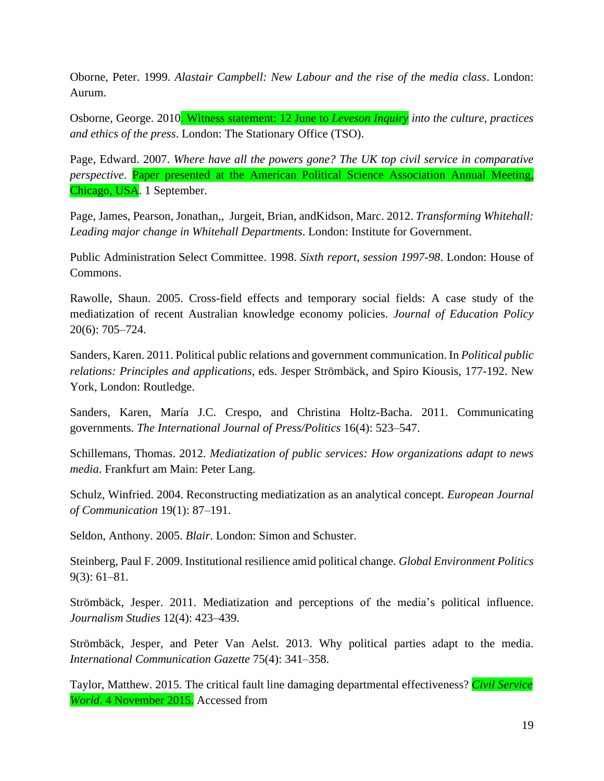Oborne, Peter. 1999. *Alastair Campbell: New Labour and the rise of the media class*. London: Aurum.

Osborne, George. 2010. Witness statement: 12 June to *Leveson Inquiry into the culture, practices and ethics of the press*. London: The Stationary Office (TSO).

Page, Edward. 2007. *Where have all the powers gone? The UK top civil service in comparative perspective*. Paper presented at the American Political Science Association Annual Meeting, Chicago, USA. 1 September.

Page, James, Pearson, Jonathan,, Jurgeit, Brian, andKidson, Marc. 2012. *Transforming Whitehall: Leading major change in Whitehall Departments*. London: Institute for Government.

Public Administration Select Committee. 1998. *Sixth report, session 1997-98*. London: House of Commons.

Rawolle, Shaun. 2005. Cross-field effects and temporary social fields: A case study of the mediatization of recent Australian knowledge economy policies. *Journal of Education Policy* 20(6): 705–724.

Sanders, Karen. 2011. Political public relations and government communication. In *Political public relations: Principles and applications*, eds. Jesper Strömbäck, and Spiro Kiousis, 177-192. New York, London: Routledge.

Sanders, Karen, María J.C. Crespo, and Christina Holtz-Bacha. 2011. Communicating governments. *The International Journal of Press/Politics* 16(4): 523–547.

Schillemans, Thomas. 2012. *Mediatization of public services: How organizations adapt to news media*. Frankfurt am Main: Peter Lang.

Schulz, Winfried. 2004. Reconstructing mediatization as an analytical concept. *European Journal of Communication* 19(1): 87–191.

Seldon, Anthony. 2005. *Blair*. London: Simon and Schuster.

Steinberg, Paul F. 2009. Institutional resilience amid political change. *Global Environment Politics* 9(3): 61–81.

Strömbäck, Jesper. 2011. Mediatization and perceptions of the media's political influence. *Journalism Studies* 12(4): 423–439.

Strömbäck, Jesper, and Peter Van Aelst. 2013. Why political parties adapt to the media. *International Communication Gazette* 75(4): 341–358.

Taylor, Matthew. 2015. The critical fault line damaging departmental effectiveness? *Civil Service World*. 4 November 2015. Accessed from